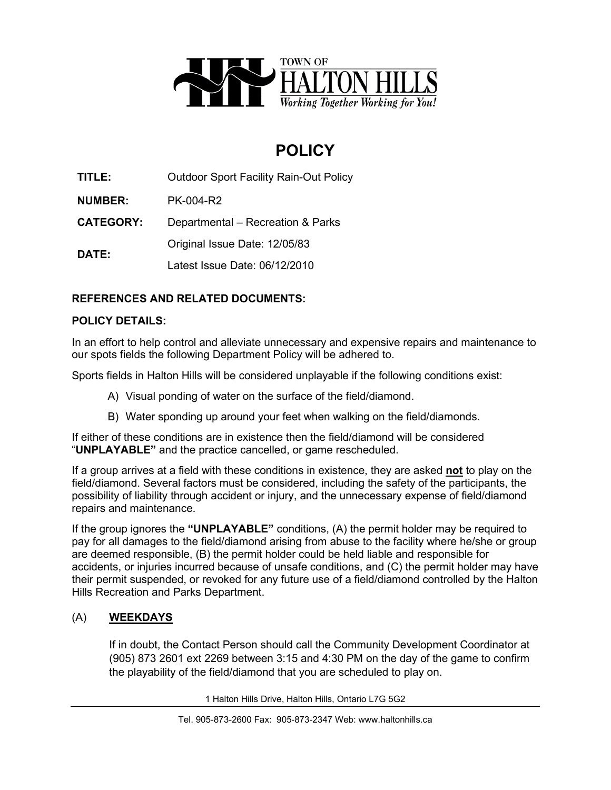

# **POLICY**

**TITLE:** Outdoor Sport Facility Rain-Out Policy

**NUMBER:** PK-004-R2

**CATEGORY:** Departmental – Recreation & Parks

**DATE:**  Original Issue Date: 12/05/83

Latest Issue Date: 06/12/2010

## **REFERENCES AND RELATED DOCUMENTS:**

## **POLICY DETAILS:**

 our spots fields the following Department Policy will be adhered to. In an effort to help control and alleviate unnecessary and expensive repairs and maintenance to

Sports fields in Halton Hills will be considered unplayable if the following conditions exist:

- A) Visual ponding of water on the surface of the field/diamond.
- B) Water sponding up around your feet when walking on the field/diamonds.

If either of these conditions are in existence then the field/diamond will be considered "**UNPLAYABLE"** and the practice cancelled, or game rescheduled.

If a group arrives at a field with these conditions in existence, they are asked **not** to play on the field/diamond. Several factors must be considered, including the safety of the participants, the possibility of liability through accident or injury, and the unnecessary expense of field/diamond repairs and maintenance.

 If the group ignores the **"UNPLAYABLE"** conditions, (A) the permit holder may be required to pay for all damages to the field/diamond arising from abuse to the facility where he/she or group are deemed responsible, (B) the permit holder could be held liable and responsible for accidents, or injuries incurred because of unsafe conditions, and (C) the permit holder may have their permit suspended, or revoked for any future use of a field/diamond controlled by the Halton Hills Recreation and Parks Department.

## (A) **WEEKDAYS**

If in doubt, the Contact Person should call the Community Development Coordinator at (905) 873 2601 ext 2269 between 3:15 and 4:30 PM on the day of the game to confirm the playability of the field/diamond that you are scheduled to play on.